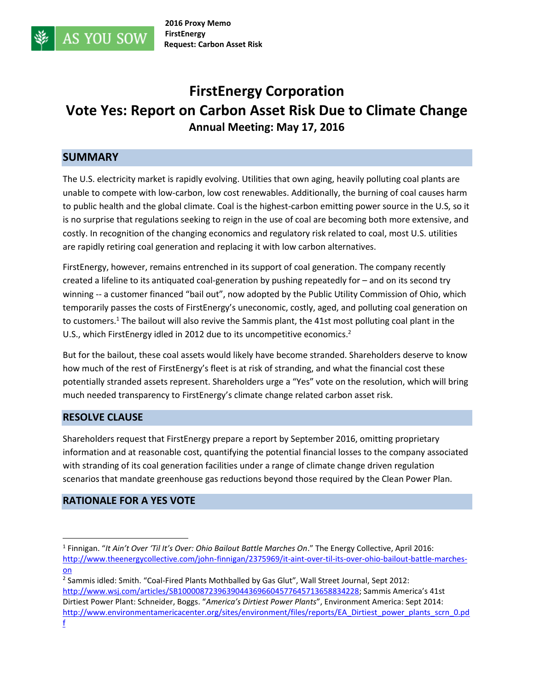

# **FirstEnergy Corporation Vote Yes: Report on Carbon Asset Risk Due to Climate Change Annual Meeting: May 17, 2016**

## **SUMMARY**

**AS YOU SOW** 

The U.S. electricity market is rapidly evolving. Utilities that own aging, heavily polluting coal plants are unable to compete with low-carbon, low cost renewables. Additionally, the burning of coal causes harm to public health and the global climate. Coal is the highest-carbon emitting power source in the U.S, so it is no surprise that regulations seeking to reign in the use of coal are becoming both more extensive, and costly. In recognition of the changing economics and regulatory risk related to coal, most U.S. utilities are rapidly retiring coal generation and replacing it with low carbon alternatives.

FirstEnergy, however, remains entrenched in its support of coal generation. The company recently created a lifeline to its antiquated coal-generation by pushing repeatedly for – and on its second try winning -- a customer financed "bail out", now adopted by the Public Utility Commission of Ohio, which temporarily passes the costs of FirstEnergy's uneconomic, costly, aged, and polluting coal generation on to customers.<sup>1</sup> The bailout will also revive the Sammis plant, the 41st most polluting coal plant in the U.S., which FirstEnergy idled in 2012 due to its uncompetitive economics.<sup>2</sup>

But for the bailout, these coal assets would likely have become stranded. Shareholders deserve to know how much of the rest of FirstEnergy's fleet is at risk of stranding, and what the financial cost these potentially stranded assets represent. Shareholders urge a "Yes" vote on the resolution, which will bring much needed transparency to FirstEnergy's climate change related carbon asset risk.

#### **RESOLVE CLAUSE**

Shareholders request that FirstEnergy prepare a report by September 2016, omitting proprietary information and at reasonable cost, quantifying the potential financial losses to the company associated with stranding of its coal generation facilities under a range of climate change driven regulation scenarios that mandate greenhouse gas reductions beyond those required by the Clean Power Plan.

## **RATIONALE FOR A YES VOTE**

 $\overline{\phantom{a}}$ 

<sup>1</sup> Finnigan. "*It Ain't Over 'Til It's Over: Ohio Bailout Battle Marches On*." The Energy Collective, April 2016: [http://www.theenergycollective.com/john-finnigan/2375969/it-aint-over-til-its-over-ohio-bailout-battle-marches](http://www.theenergycollective.com/john-finnigan/2375969/it-aint-over-til-its-over-ohio-bailout-battle-marches-on)[on](http://www.theenergycollective.com/john-finnigan/2375969/it-aint-over-til-its-over-ohio-bailout-battle-marches-on)

<sup>&</sup>lt;sup>2</sup> Sammis idled: Smith. "Coal-Fired Plants Mothballed by Gas Glut", Wall Street Journal, Sept 2012: [http://www.wsj.com/articles/SB10000872396390443696604577645713658834228;](http://www.wsj.com/articles/SB10000872396390443696604577645713658834228) Sammis America's 41st Dirtiest Power Plant: Schneider, Boggs. "*America's Dirtiest Power Plants*", Environment America: Sept 2014: [http://www.environmentamericacenter.org/sites/environment/files/reports/EA\\_Dirtiest\\_power\\_plants\\_scrn\\_0.pd](http://www.environmentamericacenter.org/sites/environment/files/reports/EA_Dirtiest_power_plants_scrn_0.pdf) [f](http://www.environmentamericacenter.org/sites/environment/files/reports/EA_Dirtiest_power_plants_scrn_0.pdf)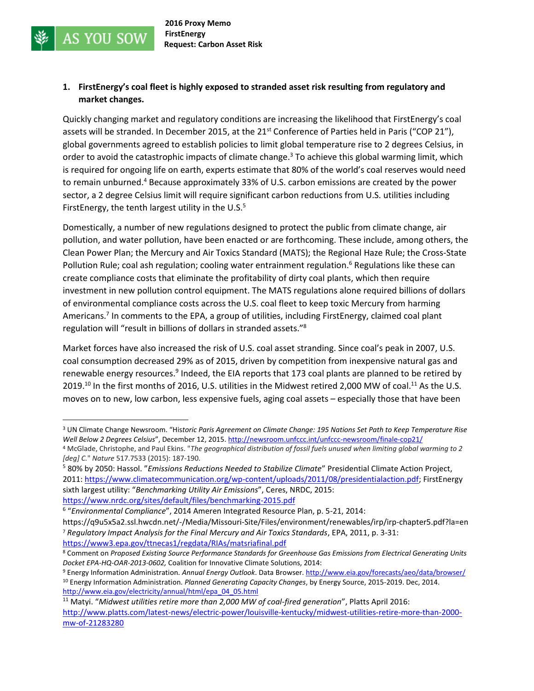**AS YOU SOW** 

#### **1. FirstEnergy's coal fleet is highly exposed to stranded asset risk resulting from regulatory and market changes.**

Quickly changing market and regulatory conditions are increasing the likelihood that FirstEnergy's coal assets will be stranded. In December 2015, at the 21<sup>st</sup> Conference of Parties held in Paris ("COP 21"), global governments agreed to establish policies to limit global temperature rise to 2 degrees Celsius, in order to avoid the catastrophic impacts of climate change.<sup>3</sup> To achieve this global warming limit, which is required for ongoing life on earth, experts estimate that 80% of the world's coal reserves would need to remain unburned.<sup>4</sup> Because approximately 33% of U.S. carbon emissions are created by the power sector, a 2 degree Celsius limit will require significant carbon reductions from U.S. utilities including FirstEnergy, the tenth largest utility in the U.S. $5$ 

Domestically, a number of new regulations designed to protect the public from climate change, air pollution, and water pollution, have been enacted or are forthcoming. These include, among others, the Clean Power Plan; the Mercury and Air Toxics Standard (MATS); the Regional Haze Rule; the Cross-State Pollution Rule; coal ash regulation; cooling water entrainment regulation.<sup>6</sup> Regulations like these can create compliance costs that eliminate the profitability of dirty coal plants, which then require investment in new pollution control equipment. The MATS regulations alone required billions of dollars of environmental compliance costs across the U.S. coal fleet to keep toxic Mercury from harming Americans.<sup>7</sup> In comments to the EPA, a group of utilities, including FirstEnergy, claimed coal plant regulation will "result in billions of dollars in stranded assets."<sup>8</sup>

Market forces have also increased the risk of U.S. coal asset stranding. Since coal's peak in 2007, U.S. coal consumption decreased 29% as of 2015, driven by competition from inexpensive natural gas and renewable energy resources.<sup>9</sup> Indeed, the EIA reports that 173 coal plants are planned to be retired by 2019.<sup>10</sup> In the first months of 2016, U.S. utilities in the Midwest retired 2,000 MW of coal.<sup>11</sup> As the U.S. moves on to new, low carbon, less expensive fuels, aging coal assets – especially those that have been

 $\overline{\phantom{a}}$ 

<sup>3</sup> UN Climate Change Newsroom. "His*toric Paris Agreement on Climate Change: 195 Nations Set Path to Keep Temperature Rise Well Below 2 Degrees Celsius*", December 12, 2015. <http://newsroom.unfccc.int/unfccc-newsroom/finale-cop21/>

<sup>4</sup> McGlade, Christophe, and Paul Ekins. "*The geographical distribution of fossil fuels unused when limiting global warming to 2 [deg] C.*" *Nature* 517.7533 (2015): 187-190.

<sup>5</sup> 80% by 2050: Hassol. "*Emissions Reductions Needed to Stabilize Climate*" Presidential Climate Action Project, 2011: [https://www.climatecommunication.org/wp-content/uploads/2011/08/presidentialaction.pdf;](https://www.climatecommunication.org/wp-content/uploads/2011/08/presidentialaction.pdf) FirstEnergy sixth largest utility: "*Benchmarking Utility Air Emissions*", Ceres, NRDC, 2015: <https://www.nrdc.org/sites/default/files/benchmarking-2015.pdf>

<sup>6</sup> "*Environmental Compliance*", 2014 Ameren Integrated Resource Plan, p. 5-21, 2014:

https://q9u5x5a2.ssl.hwcdn.net/-/Media/Missouri-Site/Files/environment/renewables/irp/irp-chapter5.pdf?la=en <sup>7</sup> *Regulatory Impact Analysis for the Final Mercury and Air Toxics Standards*, EPA, 2011, p. 3-31: <https://www3.epa.gov/ttnecas1/regdata/RIAs/matsriafinal.pdf>

<sup>8</sup> Comment on *Proposed Existing Source Performance Standards for Greenhouse Gas Emissions from Electrical Generating Units Docket EPA‐HQ‐OAR‐2013‐0602,* Coalition for Innovative Climate Solutions, 2014:

<sup>9</sup> Energy Information Administration. *Annual Energy Outlook*. Data Browser[. http://www.eia.gov/forecasts/aeo/data/browser/](http://www.eia.gov/forecasts/aeo/data/browser/) <sup>10</sup> Energy Information Administration. *Planned Generating Capacity Changes*, by Energy Source, 2015-2019. Dec, 2014. [http://www.eia.gov/electricity/annual/html/epa\\_04\\_05.html](http://www.eia.gov/electricity/annual/html/epa_04_05.html)

<sup>11</sup> Matyi. "*Midwest utilities retire more than 2,000 MW of coal-fired generation*", Platts April 2016: [http://www.platts.com/latest-news/electric-power/louisville-kentucky/midwest-utilities-retire-more-than-2000](http://www.platts.com/latest-news/electric-power/louisville-kentucky/midwest-utilities-retire-more-than-2000-mw-of-21283280) [mw-of-21283280](http://www.platts.com/latest-news/electric-power/louisville-kentucky/midwest-utilities-retire-more-than-2000-mw-of-21283280)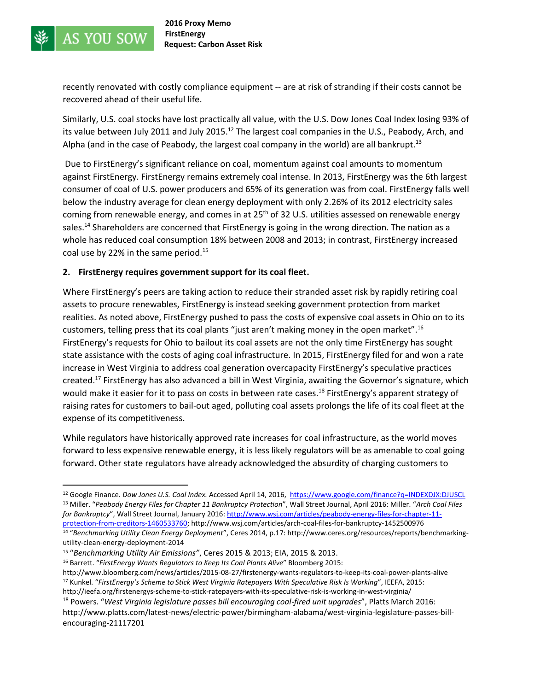

 $\overline{a}$ 

recently renovated with costly compliance equipment -- are at risk of stranding if their costs cannot be recovered ahead of their useful life.

Similarly, U.S. coal stocks have lost practically all value, with the U.S. Dow Jones Coal Index losing 93% of its value between July 2011 and July 2015.<sup>12</sup> The largest coal companies in the U.S., Peabody, Arch, and Alpha (and in the case of Peabody, the largest coal company in the world) are all bankrupt.<sup>13</sup>

Due to FirstEnergy's significant reliance on coal, momentum against coal amounts to momentum against FirstEnergy. FirstEnergy remains extremely coal intense. In 2013, FirstEnergy was the 6th largest consumer of coal of U.S. power producers and 65% of its generation was from coal. FirstEnergy falls well below the industry average for clean energy deployment with only 2.26% of its 2012 electricity sales coming from renewable energy, and comes in at  $25<sup>th</sup>$  of 32 U.S. utilities assessed on renewable energy sales.<sup>14</sup> Shareholders are concerned that FirstEnergy is going in the wrong direction. The nation as a whole has reduced coal consumption 18% between 2008 and 2013; in contrast, FirstEnergy increased coal use by 22% in the same period.<sup>15</sup>

#### **2. FirstEnergy requires government support for its coal fleet.**

Where FirstEnergy's peers are taking action to reduce their stranded asset risk by rapidly retiring coal assets to procure renewables, FirstEnergy is instead seeking government protection from market realities. As noted above, FirstEnergy pushed to pass the costs of expensive coal assets in Ohio on to its customers, telling press that its coal plants "just aren't making money in the open market".<sup>16</sup> FirstEnergy's requests for Ohio to bailout its coal assets are not the only time FirstEnergy has sought state assistance with the costs of aging coal infrastructure. In 2015, FirstEnergy filed for and won a rate increase in West Virginia to address coal generation overcapacity FirstEnergy's speculative practices created.<sup>17</sup> FirstEnergy has also advanced a bill in West Virginia, awaiting the Governor's signature, which would make it easier for it to pass on costs in between rate cases.<sup>18</sup> FirstEnergy's apparent strategy of raising rates for customers to bail-out aged, polluting coal assets prolongs the life of its coal fleet at the expense of its competitiveness.

While regulators have historically approved rate increases for coal infrastructure, as the world moves forward to less expensive renewable energy, it is less likely regulators will be as amenable to coal going forward. Other state regulators have already acknowledged the absurdity of charging customers to

<sup>12</sup> Google Finance. *Dow Jones U.S. Coal Index.* Accessed April 14, 2016,<https://www.google.com/finance?q=INDEXDJX:DJUSCL> <sup>13</sup> Miller. "*Peabody Energy Files for Chapter 11 Bankruptcy Protection*", Wall Street Journal, April 2016: Miller. "*Arch Coal Files for Bankruptcy*", Wall Street Journal, January 2016: [http://www.wsj.com/articles/peabody-energy-files-for-chapter-11](http://www.wsj.com/articles/peabody-energy-files-for-chapter-11-protection-from-creditors-1460533760) [protection-from-creditors-1460533760;](http://www.wsj.com/articles/peabody-energy-files-for-chapter-11-protection-from-creditors-1460533760) http://www.wsj.com/articles/arch-coal-files-for-bankruptcy-1452500976

<sup>14</sup> "*Benchmarking Utility Clean Energy Deployment*", Ceres 2014, p.17: http://www.ceres.org/resources/reports/benchmarkingutility-clean-energy-deployment-2014

<sup>15</sup> "*Benchmarking Utility Air Emissions"*, Ceres 2015 & 2013; EIA, 2015 & 2013.

<sup>16</sup> Barrett. "*FirstEnergy Wants Regulators to Keep Its Coal Plants Alive*" Bloomberg 2015:

http://www.bloomberg.com/news/articles/2015-08-27/firstenergy-wants-regulators-to-keep-its-coal-power-plants-alive <sup>17</sup> Kunkel. "*FirstEnergy's Scheme to Stick West Virginia Ratepayers With Speculative Risk Is Working*", IEEFA, 2015: http://ieefa.org/firstenergys-scheme-to-stick-ratepayers-with-its-speculative-risk-is-working-in-west-virginia/

<sup>18</sup> Powers. "*West Virginia legislature passes bill encouraging coal-fired unit upgrades*", Platts March 2016: http://www.platts.com/latest-news/electric-power/birmingham-alabama/west-virginia-legislature-passes-billencouraging-21117201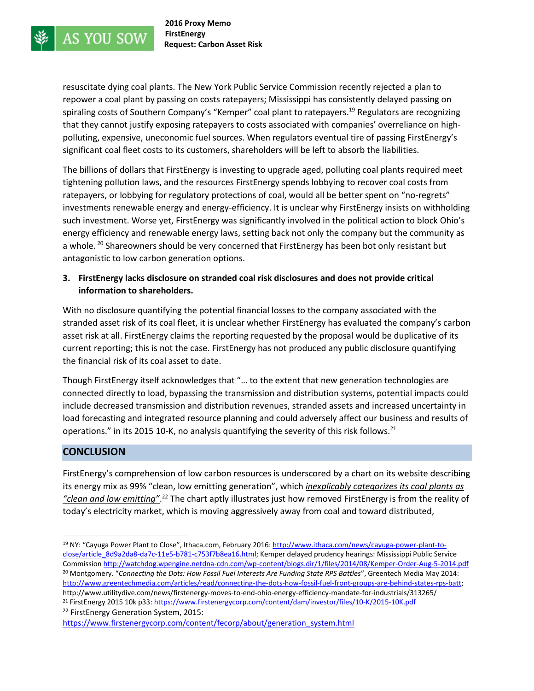resuscitate dying coal plants. The New York Public Service Commission recently rejected a plan to repower a coal plant by passing on costs ratepayers; Mississippi has consistently delayed passing on spiraling costs of Southern Company's "Kemper" coal plant to ratepayers.<sup>19</sup> Regulators are recognizing that they cannot justify exposing ratepayers to costs associated with companies' overreliance on highpolluting, expensive, uneconomic fuel sources. When regulators eventual tire of passing FirstEnergy's significant coal fleet costs to its customers, shareholders will be left to absorb the liabilities.

The billions of dollars that FirstEnergy is investing to upgrade aged, polluting coal plants required meet tightening pollution laws, and the resources FirstEnergy spends lobbying to recover coal costs from ratepayers, or lobbying for regulatory protections of coal, would all be better spent on "no-regrets" investments renewable energy and energy-efficiency. It is unclear why FirstEnergy insists on withholding such investment. Worse yet, FirstEnergy was significantly involved in the political action to block Ohio's energy efficiency and renewable energy laws, setting back not only the company but the community as a whole.<sup>20</sup> Shareowners should be very concerned that FirstEnergy has been bot only resistant but antagonistic to low carbon generation options.

#### **3. FirstEnergy lacks disclosure on stranded coal risk disclosures and does not provide critical information to shareholders.**

With no disclosure quantifying the potential financial losses to the company associated with the stranded asset risk of its coal fleet, it is unclear whether FirstEnergy has evaluated the company's carbon asset risk at all. FirstEnergy claims the reporting requested by the proposal would be duplicative of its current reporting; this is not the case. FirstEnergy has not produced any public disclosure quantifying the financial risk of its coal asset to date.

Though FirstEnergy itself acknowledges that "… to the extent that new generation technologies are connected directly to load, bypassing the transmission and distribution systems, potential impacts could include decreased transmission and distribution revenues, stranded assets and increased uncertainty in load forecasting and integrated resource planning and could adversely affect our business and results of operations." in its 2015 10-K, no analysis quantifying the severity of this risk follows.<sup>21</sup>

## **CONCLUSION**

FirstEnergy's comprehension of low carbon resources is underscored by a chart on its website describing its energy mix as 99% "clean, low emitting generation", which *inexplicably categorizes its coal plants as "clean and low emitting"*. <sup>22</sup> The chart aptly illustrates just how removed FirstEnergy is from the reality of today's electricity market, which is moving aggressively away from coal and toward distributed,

<sup>22</sup> FirstEnergy Generation System, 2015:

[https://www.firstenergycorp.com/content/fecorp/about/generation\\_system.html](https://www.firstenergycorp.com/content/fecorp/about/generation_system.html)

 $\overline{a}$ <sup>19</sup> NY: "Cayuga Power Plant to Close", Ithaca.com, February 2016: [http://www.ithaca.com/news/cayuga-power-plant-to](http://www.ithaca.com/news/cayuga-power-plant-to-close/article_8d9a2da8-da7c-11e5-b781-c753f7b8ea16.html)[close/article\\_8d9a2da8-da7c-11e5-b781-c753f7b8ea16.html;](http://www.ithaca.com/news/cayuga-power-plant-to-close/article_8d9a2da8-da7c-11e5-b781-c753f7b8ea16.html) Kemper delayed prudency hearings: Mississippi Public Service Commissio[n http://watchdog.wpengine.netdna-cdn.com/wp-content/blogs.dir/1/files/2014/08/Kemper-Order-Aug-5-2014.pdf](http://watchdog.wpengine.netdna-cdn.com/wp-content/blogs.dir/1/files/2014/08/Kemper-Order-Aug-5-2014.pdf)  <sup>20</sup> Montgomery. "*Connecting the Dots: How Fossil Fuel Interests Are Funding State RPS Battles*", Greentech Media May 2014: [http://www.greentechmedia.com/articles/read/connecting-the-dots-how-fossil-fuel-front-groups-are-behind-states-rps-batt;](http://www.greentechmedia.com/articles/read/connecting-the-dots-how-fossil-fuel-front-groups-are-behind-states-rps-batt) http://www.utilitydive.com/news/firstenergy-moves-to-end-ohio-energy-efficiency-mandate-for-industrials/313265/ <sup>21</sup> FirstEnergy 2015 10k p33:<https://www.firstenergycorp.com/content/dam/investor/files/10-K/2015-10K.pdf>